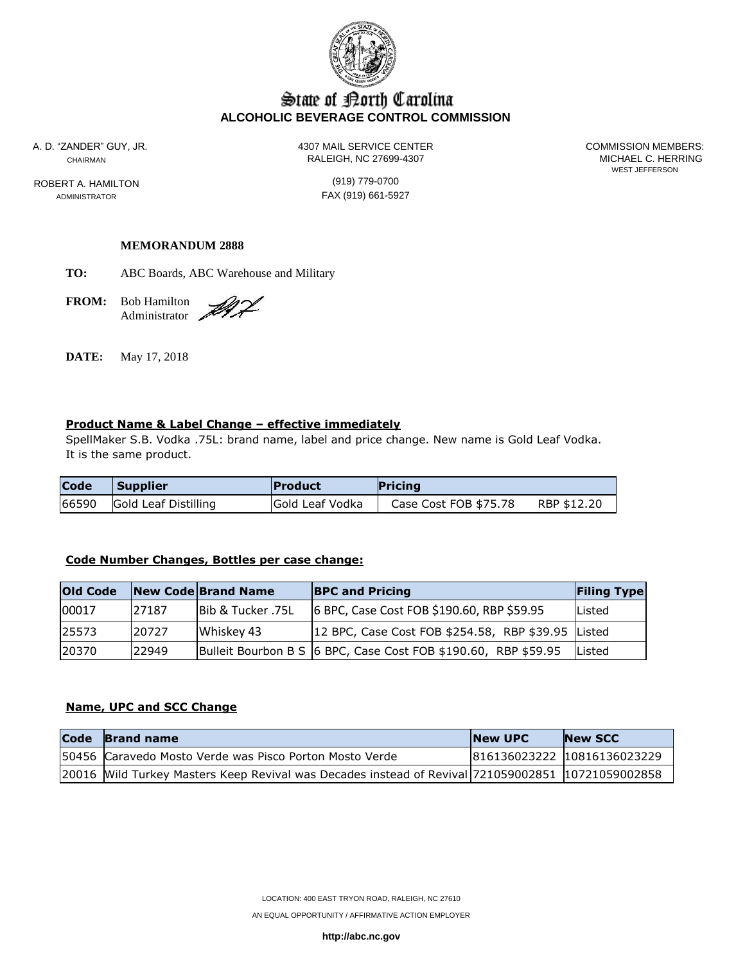

# State of Borth Carolina **ALCOHOLIC BEVERAGE CONTROL COMMISSION**

ROBERT A. HAMILTON (919) 779-0700

A. D. "ZANDER" GUY, JR. 4307 MAIL SERVICE CENTER COMMISSION MEMBERS: CHAIRMAN RALEIGH, NC 27699-4307

WEST JEFFERSON

ADMINISTRATOR **FAX** (919) 661-5927

### **MEMORANDUM 2888**

**TO:** ABC Boards, ABC Warehouse and Military

**FROM:** Bob Hamilton Administrator

DI L

**DATE:** May 17, 2018

### **Product Name & Label Change – effective immediately**

SpellMaker S.B. Vodka .75L: brand name, label and price change. New name is Gold Leaf Vodka. It is the same product.

| <b>Code</b> | <b>Supplier</b>      | <b>Product</b>  | <b>Pricing</b>        |             |
|-------------|----------------------|-----------------|-----------------------|-------------|
| 66590       | Gold Leaf Distilling | Gold Leaf Vodka | Case Cost FOB \$75.78 | RBP \$12.20 |

#### **Code Number Changes, Bottles per case change:**

| <b>Old Code</b> |       | New Code Brand Name          | <b>BPC and Pricing</b>                                           | <b>Filing Type</b> |
|-----------------|-------|------------------------------|------------------------------------------------------------------|--------------------|
| 00017           | 27187 | <b>Bib &amp; Tucker .75L</b> | 6 BPC, Case Cost FOB \$190.60, RBP \$59.95                       | lListed            |
| 125573          | 20727 | Whiskey 43                   | 12 BPC, Case Cost FOB \$254.58, RBP \$39.95 Listed               |                    |
| 120370          | 22949 |                              | Bulleit Bourbon B S   6 BPC, Case Cost FOB \$190.60, RBP \$59.95 | lListed            |

#### **Name, UPC and SCC Change**

| Code Brand name                                                                                   | <b>INew UPC</b> | <b>New SCC</b>              |
|---------------------------------------------------------------------------------------------------|-----------------|-----------------------------|
| 50456 Caravedo Mosto Verde was Pisco Porton Mosto Verde                                           |                 | 816136023222 10816136023229 |
| 20016 Wild Turkey Masters Keep Revival was Decades instead of Revival 721059002851 10721059002858 |                 |                             |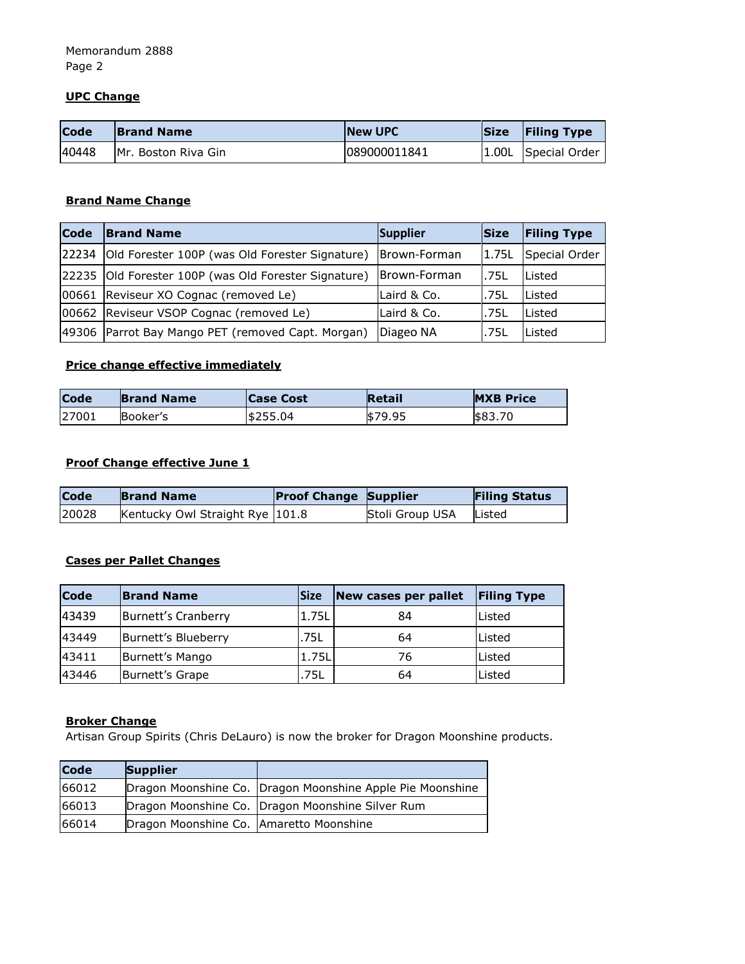# **UPC Change**

| Code  | <b>Brand Name</b>    | <b>INew UPC</b> | <b>Size</b> | <b>Filing Type</b>  |
|-------|----------------------|-----------------|-------------|---------------------|
| 40448 | IMr. Boston Riva Gin | 089000011841    |             | 1.00L Special Order |

# **Brand Name Change**

| <b>Code</b> | <b>Brand Name</b>                                    | Supplier     | lSize | <b>Filing Type</b>  |
|-------------|------------------------------------------------------|--------------|-------|---------------------|
| 22234       | Old Forester 100P (was Old Forester Signature)       | Brown-Forman |       | 1.75L Special Order |
|             | 22235 Old Forester 100P (was Old Forester Signature) | Brown-Forman | .75L  | <b>Listed</b>       |
|             | 00661 Reviseur XO Cognac (removed Le)                | Laird & Co.  | .75L  | <b>Listed</b>       |
|             | 00662 Reviseur VSOP Cognac (removed Le)              | Laird & Co.  | .75L  | <b>Listed</b>       |
|             | 49306 Parrot Bay Mango PET (removed Capt. Morgan)    | Diageo NA    | .75L  | Listed              |

# **Price change effective immediately**

| <b>Code</b> | <b>Brand Name</b> | <b>Case Cost</b> | <b>Retail</b> | <b>MXB Price</b> |
|-------------|-------------------|------------------|---------------|------------------|
| 27001       | Booker's          | \$255.04         | \$79.95       | \$83.70          |

# **Proof Change effective June 1**

| <b>Code</b> | <b>Brand Name</b>               | <b>Proof Change Supplier</b> |                 | <b>Filing Status</b> |
|-------------|---------------------------------|------------------------------|-----------------|----------------------|
| 20028       | Kentucky Owl Straight Rye 101.8 |                              | Stoli Group USA | Listed               |

## **Cases per Pallet Changes**

| <b>Code</b> | <b>Brand Name</b>   | <b>Size</b> | New cases per pallet | <b>Filing Type</b> |
|-------------|---------------------|-------------|----------------------|--------------------|
| 43439       | Burnett's Cranberry | 1.75L       | 84                   | Listed             |
| 43449       | Burnett's Blueberry | .75L        | 64                   | Listed             |
| 43411       | Burnett's Mango     | 1.75L       | 76                   | Listed             |
| 43446       | Burnett's Grape     | .75L        | 64                   | Listed             |

### **Broker Change**

Artisan Group Spirits (Chris DeLauro) is now the broker for Dragon Moonshine products.

| <b>Code</b> | <b>Supplier</b>                         |                                                           |
|-------------|-----------------------------------------|-----------------------------------------------------------|
| 66012       |                                         | Dragon Moonshine Co. Dragon Moonshine Apple Pie Moonshine |
| 66013       |                                         | Dragon Moonshine Co. Dragon Moonshine Silver Rum          |
| 66014       | Dragon Moonshine Co. Amaretto Moonshine |                                                           |